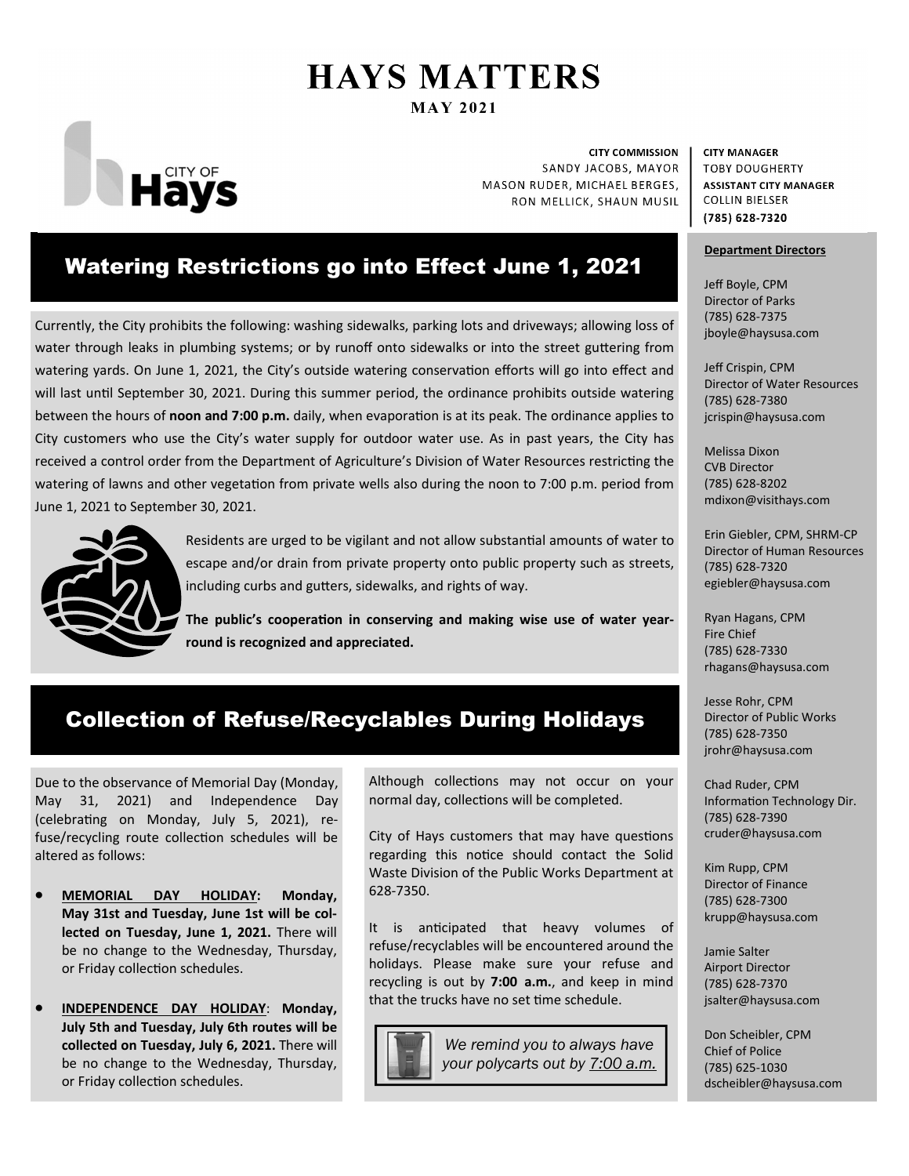# **HAYS MATTERS MAY 2021**



**CITY COMMISSION** SANDY JACOBS, MAYOR MASON RUDER, MICHAEL BERGES, RON MELLICK, SHAUN MUSIL

### Watering Restrictions go into Effect June 1, 2021

Currently, the City prohibits the following: washing sidewalks, parking lots and driveways; allowing loss of water through leaks in plumbing systems; or by runoff onto sidewalks or into the street guttering from watering yards. On June 1, 2021, the City's outside watering conservation efforts will go into effect and will last until September 30, 2021. During this summer period, the ordinance prohibits outside watering between the hours of noon and 7:00 p.m. daily, when evaporation is at its peak. The ordinance applies to City customers who use the City's water supply for outdoor water use. As in past years, the City has received a control order from the Department of Agriculture's Division of Water Resources restricting the watering of lawns and other vegetation from private wells also during the noon to 7:00 p.m. period from June 1, 2021 to September 30, 2021.



Residents are urged to be vigilant and not allow substantial amounts of water to escape and/or drain from private property onto public property such as streets, including curbs and gutters, sidewalks, and rights of way.

The public's cooperation in conserving and making wise use of water year**round is recognized and appreciated.** 

# Collection of Refuse/Recyclables During Holidays

Due to the observance of Memorial Day (Monday, May 31, 2021) and Independence Day (celebrating on Monday, July 5, 2021), refuse/recycling route collection schedules will be altered as follows:

- **MEMORIAL DAY HOLIDAY: Monday, May 31st and Tuesday, June 1st will be col‐ lected on Tuesday, June 1, 2021.** There will be no change to the Wednesday, Thursday, or Friday collection schedules.
- **INDEPENDENCE DAY HOLIDAY**: **Monday, July 5th and Tuesday, July 6th routes will be collected on Tuesday, July 6, 2021.** There will be no change to the Wednesday, Thursday, or Friday collection schedules.

Although collections may not occur on your normal day, collections will be completed.

City of Hays customers that may have questions regarding this notice should contact the Solid Waste Division of the Public Works Department at 628-7350.

It is anticipated that heavy volumes of refuse/recyclables will be encountered around the holidays. Please make sure your refuse and recycling is out by **7:00 a.m.**, and keep in mind that the trucks have no set time schedule.



*We remind you to always have your polycarts out by 7:00 a.m.*  **CITY MANAGER TOBY DOUGHERTY ASSISTANT CITY MANAGER COLLIN BIELSER** (785) 628-7320

#### **Department Directors**

Jeff Boyle, CPM Director of Parks (785) 628-7375 jboyle@haysusa.com

Jeff Crispin, CPM Director of Water Resources (785) 628-7380 jcrispin@haysusa.com

Melissa Dixon CVB Director (785) 628-8202 mdixon@visithays.com

Erin Giebler, CPM, SHRM-CP Director of Human Resources (785) 628-7320 egiebler@haysusa.com

Ryan Hagans, CPM Fire Chief (785) 628-7330 rhagans@haysusa.com

Jesse Rohr, CPM Director of Public Works (785) 628-7350 jrohr@haysusa.com

Chad Ruder, CPM Information Technology Dir. (785) 628-7390 cruder@haysusa.com

Kim Rupp, CPM Director of Finance (785) 628-7300 krupp@haysusa.com

Jamie Salter Airport Director (785) 628-7370 jsalter@haysusa.com

Don Scheibler, CPM Chief of Police (785) 625-1030 dscheibler@haysusa.com